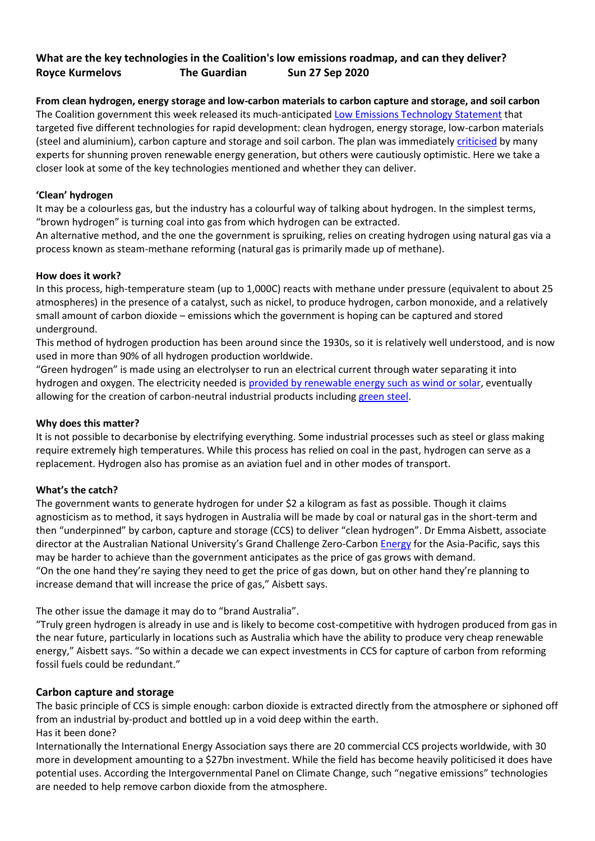## **What are the key technologies in the Coalition's low emissions roadmap, and can they deliver? Royce Kurmelovs The Guardian Sun 27 Sep 2020**

**From clean hydrogen, energy storage and low-carbon materials to carbon capture and storage, and soil carbon** The Coalition government this week released its much-anticipated [Low Emissions Technology Statement](https://www.industry.gov.au/sites/default/files/September%202020/document/first-low-emissions-technology-statement-2020.pdf) that targeted five different technologies for rapid development: clean hydrogen, energy storage, low-carbon materials (steel and aluminium), carbon capture and storage and soil carbon. The plan was immediately [criticised](https://www.theguardian.com/australia-news/2020/sep/23/by-2020-standards-angus-taylors-low-emissions-technology-statement-is-not-really-a-climate-policy) by many experts for shunning proven renewable energy generation, but others were cautiously optimistic. Here we take a closer look at some of the key technologies mentioned and whether they can deliver.

#### **'Clean' hydrogen**

It may be a colourless gas, but the industry has a colourful way of talking about hydrogen. In the simplest terms, "brown hydrogen" is turning coal into gas from which hydrogen can be extracted.

An alternative method, and the one the government is spruiking, relies on creating hydrogen using natural gas via a process known as steam-methane reforming (natural gas is primarily made up of methane).

#### **How does it work?**

In this process, high-temperature steam (up to 1,000C) reacts with methane under pressure (equivalent to about 25 atmospheres) in the presence of a catalyst, such as nickel, to produce hydrogen, carbon monoxide, and a relatively small amount of carbon dioxide – emissions which the government is hoping can be captured and stored underground.

This method of hydrogen production has been around since the 1930s, so it is relatively well understood, and is now used in more than 90% of all hydrogen production worldwide.

"Green hydrogen" is made using an electrolyser to run an electrical current through water separating it into hydrogen and oxygen. The electricity needed is [provided by renewable energy such as wind or solar,](https://www.theguardian.com/australia-news/2020/aug/27/enormous-opportunity-how-australia-could-becomehe-saudi-arabia-of-renewable-energy) eventually allowing for the creation of carbon-neutral industrial products including [green steel.](https://grattan.edu.au/report/start-with-steel/)

#### **Why does this matter?**

It is not possible to decarbonise by electrifying everything. Some industrial processes such as steel or glass making require extremely high temperatures. While this process has relied on coal in the past, hydrogen can serve as a replacement. Hydrogen also has promise as an aviation fuel and in other modes of transport.

#### **What's the catch?**

The government wants to generate hydrogen for under \$2 a kilogram as fast as possible. Though it claims agnosticism as to method, it says hydrogen in Australia will be made by coal or natural gas in the short-term and then "underpinned" by carbon, capture and storage (CCS) to deliver "clean hydrogen". Dr Emma Aisbett, associate director at the Australian National University's Grand Challenge Zero-Carbon [Energy](https://www.theguardian.com/environment/energy) for the Asia-Pacific, says this may be harder to achieve than the government anticipates as the price of gas grows with demand. "On the one hand they're saying they need to get the price of gas down, but on other hand they're planning to increase demand that will increase the price of gas," Aisbett says.

The other issue the damage it may do to "brand Australia".

"Truly green hydrogen is already in use and is likely to become cost-competitive with hydrogen produced from gas in the near future, particularly in locations such as Australia which have the ability to produce very cheap renewable energy," Aisbett says. "So within a decade we can expect investments in CCS for capture of carbon from reforming fossil fuels could be redundant."

## **Carbon capture and storage**

The basic principle of CCS is simple enough: carbon dioxide is extracted directly from the atmosphere or siphoned off from an industrial by-product and bottled up in a void deep within the earth. Has it been done?

Internationally the International Energy Association [says](https://www.theguardian.com/environment/2020/sep/24/carbon-storage-technologies-critical-for-meeting-climate-targets-iea) there are 20 commercial CCS projects worldwide, with 30 more in development amounting to a \$27bn investment. While the field has become heavily politicised it does have potential uses. According the Intergovernmental Panel on Climate Change, such "[negative emissions](https://www.ipcc.ch/sr15/chapter/chapter-4/)" technologies are needed to help remove carbon dioxide from the atmosphere.